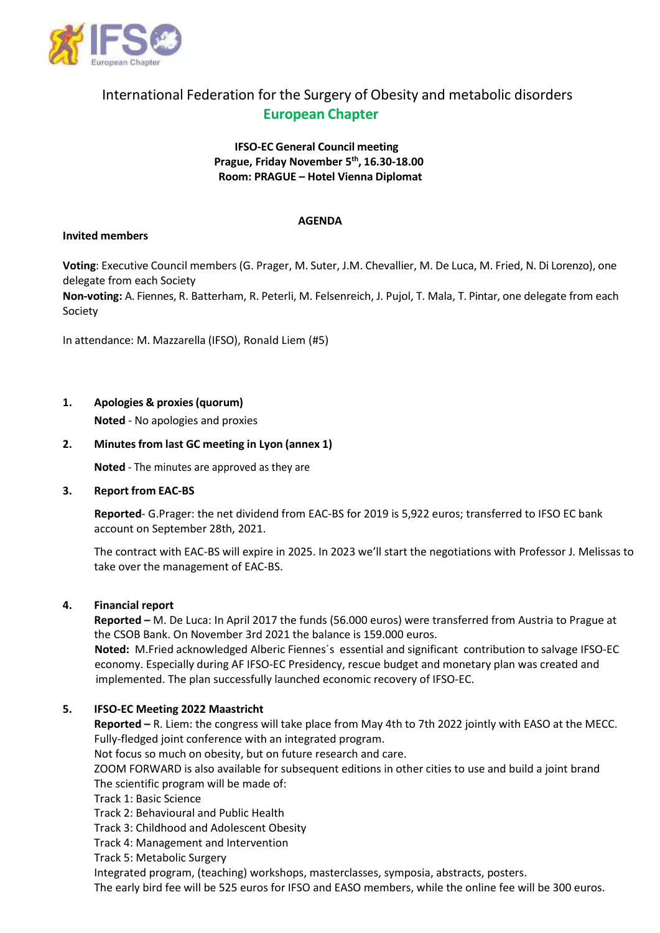

# International Federation for the Surgery of Obesity and metabolic disorders **European Chapter**

## **IFSO-EC General Council meeting Prague, Friday November 5 th , 16.30-18.00 Room: PRAGUE – Hotel Vienna Diplomat**

#### **AGENDA**

#### **Invited members**

**Voting**: Executive Council members (G. Prager, M. Suter, J.M. Chevallier, M. De Luca, M. Fried, N. Di Lorenzo), one delegate from each Society

**Non-voting:** A. Fiennes, R. Batterham, R. Peterli, M. Felsenreich, J. Pujol, T. Mala, T. Pintar, one delegate from each Society

In attendance: M. Mazzarella (IFSO), Ronald Liem (#5)

**1. Apologies & proxies(quorum)**

**Noted** - No apologies and proxies

### **2. Minutesfrom last GC meeting in Lyon (annex 1)**

**Noted** - The minutes are approved as they are

#### **3. Report from EAC-BS**

**Reported**- G.Prager: the net dividend from EAC-BS for 2019 is 5,922 euros; transferred to IFSO EC bank account on September 28th, 2021.

The contract with EAC-BS will expire in 2025. In 2023 we'll start the negotiations with Professor J. Melissas to take over the management of EAC-BS.

#### **4. Financial report**

**Reported –** M. De Luca: In April 2017 the funds (56.000 euros) were transferred from Austria to Prague at the CSOB Bank. On November 3rd 2021 the balance is 159.000 euros.

 **Noted:** M.Fried acknowledged Alberic Fiennes´s essential and significant contribution to salvage IFSO-EC economy. Especially during AF IFSO-EC Presidency, rescue budget and monetary plan was created and implemented. The plan successfully launched economic recovery of IFSO-EC.

## **5. IFSO-EC Meeting 2022 Maastricht**

**Reported –** R. Liem: the congress will take place from May 4th to 7th 2022 jointly with EASO at the MECC. Fully-fledged joint conference with an integrated program.

Not focus so much on obesity, but on future research and care.

ZOOM FORWARD is also available for subsequent editions in other cities to use and build a joint brand The scientific program will be made of:

Track 1: Basic Science

Track 2: Behavioural and Public Health

Track 3: Childhood and Adolescent Obesity

Track 4: Management and Intervention

Track 5: Metabolic Surgery

Integrated program, (teaching) workshops, masterclasses, symposia, abstracts, posters.

The early bird fee will be 525 euros for IFSO and EASO members, while the online fee will be 300 euros.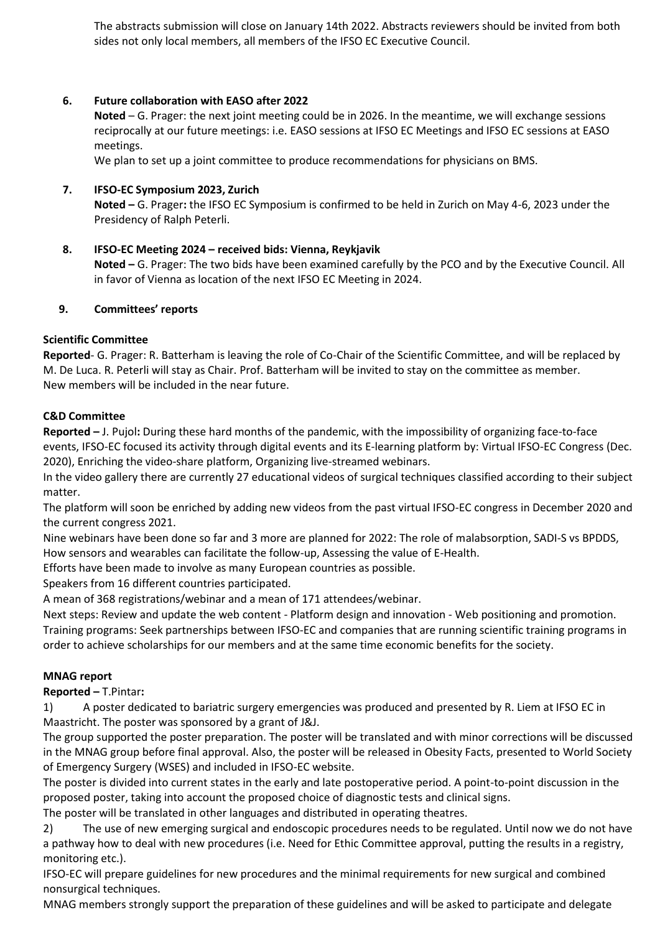The abstracts submission will close on January 14th 2022. Abstracts reviewers should be invited from both sides not only local members, all members of the IFSO EC Executive Council.

### **6. Future collaboration with EASO after 2022**

**Noted** – G. Prager: the next joint meeting could be in 2026. In the meantime, we will exchange sessions reciprocally at our future meetings: i.e. EASO sessions at IFSO EC Meetings and IFSO EC sessions at EASO meetings.

We plan to set up a joint committee to produce recommendations for physicians on BMS.

### **7. IFSO-EC Symposium 2023, Zurich**

**Noted –** G. Prager**:** the IFSO EC Symposium is confirmed to be held in Zurich on May 4-6, 2023 under the Presidency of Ralph Peterli.

#### **8. IFSO-EC Meeting 2024 – received bids: Vienna, Reykjavik**

**Noted –** G. Prager: The two bids have been examined carefully by the PCO and by the Executive Council. All in favor of Vienna as location of the next IFSO EC Meeting in 2024.

#### **9. Committees' reports**

#### **Scientific Committee**

**Reported**- G. Prager: R. Batterham is leaving the role of Co-Chair of the Scientific Committee, and will be replaced by M. De Luca. R. Peterli will stay as Chair. Prof. Batterham will be invited to stay on the committee as member. New members will be included in the near future.

#### **C&D Committee**

**Reported –** J. Pujol**:** During these hard months of the pandemic, with the impossibility of organizing face-to-face events, IFSO-EC focused its activity through digital events and its E-learning platform by: Virtual IFSO-EC Congress (Dec. 2020), Enriching the video-share platform, Organizing live-streamed webinars.

In the video gallery there are currently 27 educational videos of surgical techniques classified according to their subject matter.

The platform will soon be enriched by adding new videos from the past virtual IFSO-EC congress in December 2020 and the current congress 2021.

Nine webinars have been done so far and 3 more are planned for 2022: The role of malabsorption, SADI-S vs BPDDS, How sensors and wearables can facilitate the follow-up, Assessing the value of E-Health.

Efforts have been made to involve as many European countries as possible.

Speakers from 16 different countries participated.

A mean of 368 registrations/webinar and a mean of 171 attendees/webinar.

Next steps: Review and update the web content - Platform design and innovation - Web positioning and promotion. Training programs: Seek partnerships between IFSO-EC and companies that are running scientific training programs in order to achieve scholarships for our members and at the same time economic benefits for the society.

#### **MNAG report**

**Reported –** T.Pintar**:** 

1) A poster dedicated to bariatric surgery emergencies was produced and presented by R. Liem at IFSO EC in Maastricht. The poster was sponsored by a grant of J&J.

The group supported the poster preparation. The poster will be translated and with minor corrections will be discussed in the MNAG group before final approval. Also, the poster will be released in Obesity Facts, presented to World Society of Emergency Surgery (WSES) and included in IFSO-EC website.

The poster is divided into current states in the early and late postoperative period. A point-to-point discussion in the proposed poster, taking into account the proposed choice of diagnostic tests and clinical signs.

The poster will be translated in other languages and distributed in operating theatres.

2) The use of new emerging surgical and endoscopic procedures needs to be regulated. Until now we do not have a pathway how to deal with new procedures (i.e. Need for Ethic Committee approval, putting the results in a registry, monitoring etc.).

IFSO-EC will prepare guidelines for new procedures and the minimal requirements for new surgical and combined nonsurgical techniques.

MNAG members strongly support the preparation of these guidelines and will be asked to participate and delegate